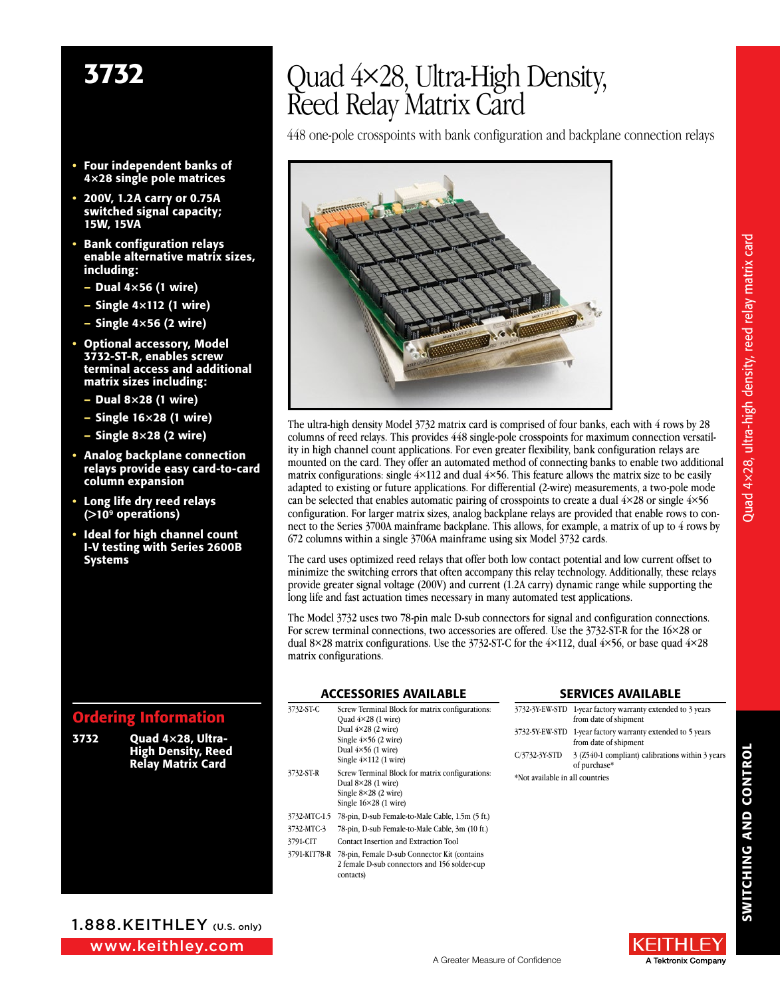- Four independent banks of 4×28 single pole matrices
- 200V, 1.2A carry or 0.75A switched signal capacity; 15W, 15VA
- Bank configuration relays enable alternative matrix sizes, including:
	- Dual 4×56 (1 wire)
	- Single 4×112 (1 wire)
	- Single 4×56 (2 wire)
- Optional accessory, Model 3732-ST-R, enables screw terminal access and additional matrix sizes including:
	- $-$  Dual 8 $\times$ 28 (1 wire)
	- Single 16×28 (1 wire)
	- Single 8×28 (2 wire)
- Analog backplane connection relays provide easy card-to-card column expansion
- Long life dry reed relays (>109 operations)
- Ideal for high channel count I-V testing with Series 2600B Systems

### Ordering Information

| 3732 | Ouad $4\times 28$ . Ultra- |
|------|----------------------------|
|      | <b>High Density, Reed</b>  |
|      | <b>Relay Matrix Card</b>   |

# 3732 Quad 4×28, Ultra-High Density, Reed Relay Matrix Card

448 one-pole crosspoints with bank configuration and backplane connection relays



The ultra-high density Model 3732 matrix card is comprised of four banks, each with 4 rows by 28 columns of reed relays. This provides 448 single-pole crosspoints for maximum connection versatility in high channel count applications. For even greater flexibility, bank configuration relays are mounted on the card. They offer an automated method of connecting banks to enable two additional matrix configurations: single  $4\times112$  and dual  $4\times56$ . This feature allows the matrix size to be easily adapted to existing or future applications. For differential (2-wire) measurements, a two-pole mode can be selected that enables automatic pairing of crosspoints to create a dual  $4\times28$  or single  $4\times56$ configuration. For larger matrix sizes, analog backplane relays are provided that enable rows to connect to the Series 3700A mainframe backplane. This allows, for example, a matrix of up to 4 rows by 672 columns within a single 3706A mainframe using six Model 3732 cards.

The card uses optimized reed relays that offer both low contact potential and low current offset to minimize the switching errors that often accompany this relay technology. Additionally, these relays provide greater signal voltage (200V) and current (1.2A carry) dynamic range while supporting the long life and fast actuation times necessary in many automated test applications.

The Model 3732 uses two 78-pin male D-sub connectors for signal and configuration connections. For screw terminal connections, two accessories are offered. Use the 3732-ST-R for the 16×28 or dual  $8\times28$  matrix configurations. Use the 3732-ST-C for the  $4\times112$ , dual  $4\times56$ , or base quad  $4\times28$ matrix configurations.

### **ACCESSORIES AVAILABLE**

| 3732-ST-C    | Screw Terminal Block for matrix configurations:  | 3732-3Y-EW-STD      |  |
|--------------|--------------------------------------------------|---------------------|--|
|              | Ouad $4 \times 28$ (1 wire)                      |                     |  |
|              | Dual $4\times28$ (2 wire)                        | 3732-5Y-EW-STD      |  |
|              | Single $4\times56$ (2 wire)                      |                     |  |
|              | Dual $4\times56$ (1 wire)                        | $C/3732-3YSTD$      |  |
|              | Single $4\times112$ (1 wire)                     |                     |  |
| 3732-ST-R    | Screw Terminal Block for matrix configurations:  | *Not available in : |  |
|              | Dual $8\times28$ (1 wire)                        |                     |  |
|              | Single $8\times28$ (2 wire)                      |                     |  |
|              | Single $16\times28$ (1 wire)                     |                     |  |
| 3732-MTC-1.5 | 78-pin, D-sub Female-to-Male Cable, 1.5m (5 ft.) |                     |  |
| 3732-MTC-3   | 78-pin, D-sub Female-to-Male Cable, 3m (10 ft.)  |                     |  |
| 3791-CIT     | Contact Insertion and Extraction Tool            |                     |  |
| 3791-KIT78-R | 78-pin, Female D-sub Connector Kit (contains)    |                     |  |
|              | 2 female D-sub connectors and 156 solder-cup     |                     |  |
|              | contacts)                                        |                     |  |

#### **SERVICES AVAILABLE**

|                                 | 3732-3Y-EW-STD 1-year factory warranty extended to 3 years<br>from date of shipment |
|---------------------------------|-------------------------------------------------------------------------------------|
|                                 | 3732-5Y-EW-STD 1-year factory warranty extended to 5 years<br>from date of shipment |
| C/3732-3Y-STD                   | 3 (Z540-1 compliant) calibrations within 3 years<br>of purchase*                    |
| *Not available in all countries |                                                                                     |

E TELL A Tektronix Company



www.keithley.com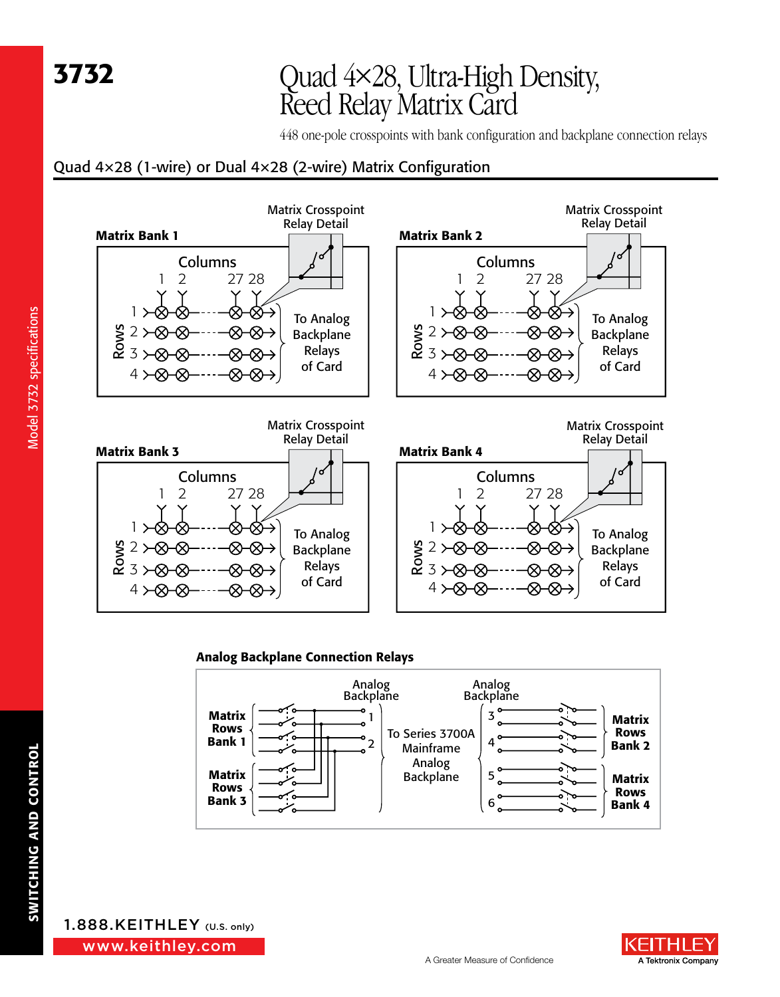# 3732 Quad 4×28, Ultra-High Density, Reed Relay Matrix Card

448 one-pole crosspoints with bank configuration and backplane connection relays

### Quad 4×28 (1-wire) or Dual 4×28 (2-wire) Matrix Configuration



### Analog Backplane Connection Relays



Model 3732 specifications Model 3732 specifications

> www.keithley.com 1.888.KEITHLEY (U.S. only)

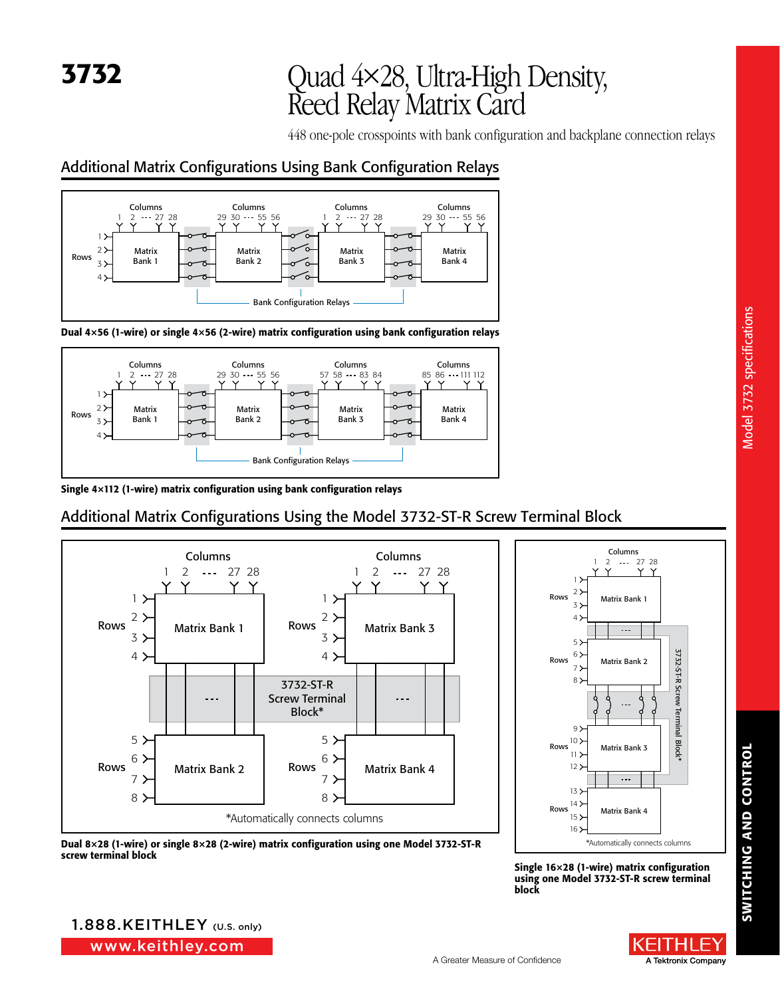# 3732 Quad 4×28, Ultra-High Density, Reed Relay Matrix Card

448 one-pole crosspoints with bank configuration and backplane connection relays

### Additional Matrix Configurations Using Bank Configuration Relays







Single 4×112 (1-wire) matrix configuration using bank configuration relays

## Additional Matrix Configurations Using the Model 3732-ST-R Screw Terminal Block







Model 3732 specifications Model 3732 specifications

Single 16×28 (1-wire) matrix configuration using one Model 3732-ST-R screw terminal block

www.keithley.com 1.888.KEITHLEY (U.S. only)